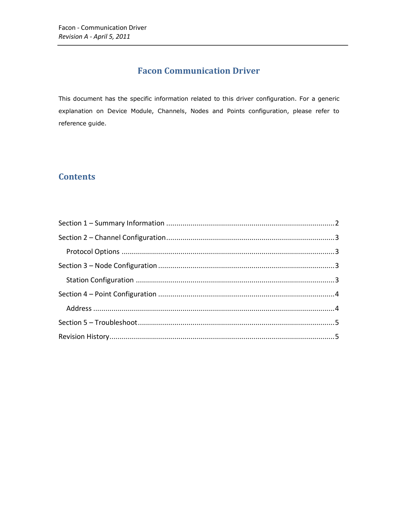# **Facon Communication Driver**

This document has the specific information related to this driver configuration. For a generic explanation on Device Module, Channels, Nodes and Points configuration, please refer to reference guide.

# **Contents**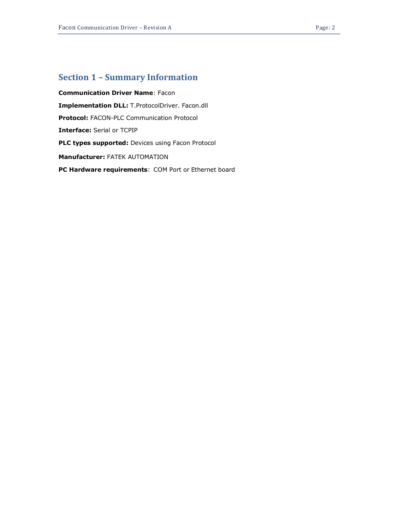## <span id="page-1-0"></span>**Section 1 – Summary Information**

**Communication Driver Name**: Facon **Implementation DLL:** T.ProtocolDriver. Facon.dll **Protocol:** FACON-PLC Communication Protocol **Interface:** Serial or TCPIP **PLC types supported:** Devices using Facon Protocol **Manufacturer:** FATEK AUTOMATION **PC Hardware requirements**: COM Port or Ethernet board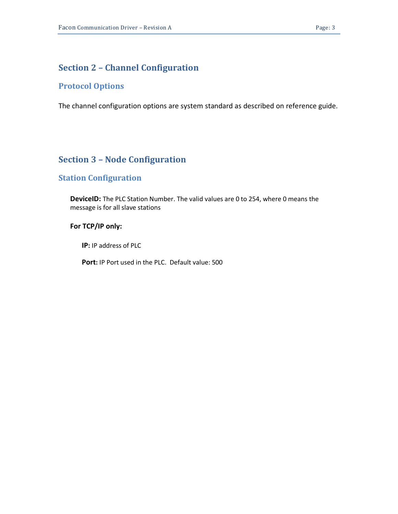#### <span id="page-2-0"></span>**Section 2 – Channel Configuration**

#### <span id="page-2-1"></span>**Protocol Options**

<span id="page-2-2"></span>The channel configuration options are system standard as described on reference guide.

## **Section 3 – Node Configuration**

## <span id="page-2-3"></span>**Station Configuration**

**DeviceID:** The PLC Station Number. The valid values are 0 to 254, where 0 means the message is for all slave stations

#### **For TCP/IP only:**

**IP:** IP address of PLC

**Port:** IP Port used in the PLC. Default value: 500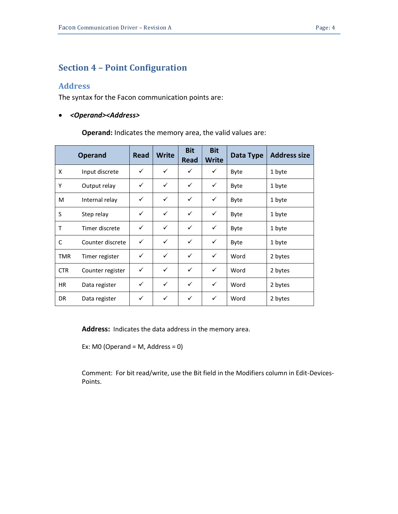#### <span id="page-3-0"></span>**Section 4 – Point Configuration**

#### <span id="page-3-1"></span>**Address**

The syntax for the Facon communication points are:

#### *<Operand><Address>*

**Operand:** Indicates the memory area, the valid values are:

|            | <b>Operand</b>   | Read         | <b>Write</b> | <b>Bit</b><br><b>Read</b> | <b>Bit</b><br><b>Write</b> | Data Type | <b>Address size</b> |
|------------|------------------|--------------|--------------|---------------------------|----------------------------|-----------|---------------------|
| X          | Input discrete   | $\checkmark$ | ✓            | ✓                         | ✓                          | Byte      | 1 byte              |
| Y          | Output relay     | ✓            | ✓            | ✓                         | ✓                          | Byte      | 1 byte              |
| M          | Internal relay   | ✓            | ✓            | ✓                         | ✓                          | Byte      | 1 byte              |
| S          | Step relay       | ✓            | ✓            | $\checkmark$              | $\checkmark$               | Byte      | 1 byte              |
| T          | Timer discrete   | $\checkmark$ | $\checkmark$ | ✓                         | $\checkmark$               | Byte      | 1 byte              |
| C          | Counter discrete | ✓            | ✓            | ✓                         | ✓                          | Byte      | 1 byte              |
| <b>TMR</b> | Timer register   | ✓            | ✓            | ✓                         | ✓                          | Word      | 2 bytes             |
| <b>CTR</b> | Counter register | $\checkmark$ | $\checkmark$ | ✓                         | $\checkmark$               | Word      | 2 bytes             |
| <b>HR</b>  | Data register    | ✓            | ✓            | ✓                         | $\checkmark$               | Word      | 2 bytes             |
| DR.        | Data register    | ✓            | ✓            | ✓                         | ✓                          | Word      | 2 bytes             |

**Address:** Indicates the data address in the memory area.

Ex: M0 (Operand = M, Address =  $0$ )

Comment: For bit read/write, use the Bit field in the Modifiers column in Edit-Devices-Points.